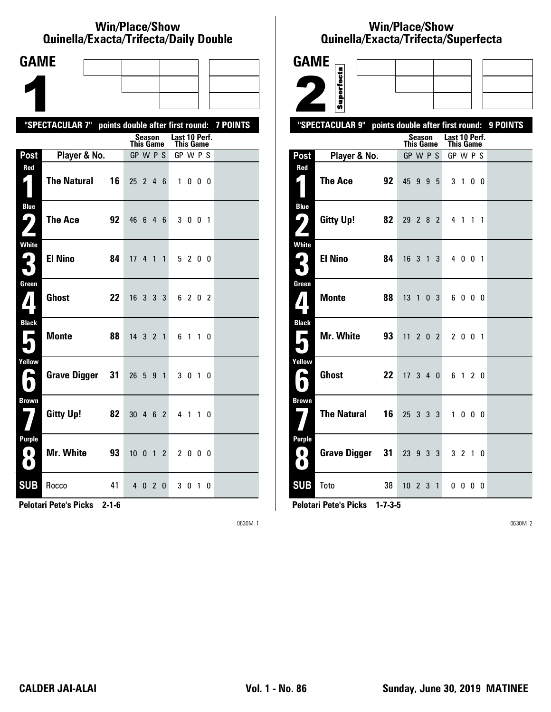#### **Win/Place/Show Qui nel la/Exacta/Tri fecta/Daily Dou ble**

| <b>GAME</b>                                                                  |                                                           |    |                  |        |           |              |                            |         |              |     |  |
|------------------------------------------------------------------------------|-----------------------------------------------------------|----|------------------|--------|-----------|--------------|----------------------------|---------|--------------|-----|--|
|                                                                              |                                                           |    |                  |        |           |              |                            |         |              |     |  |
|                                                                              |                                                           |    |                  |        |           |              |                            |         |              |     |  |
|                                                                              | "SPECTACULAR 7" points double after first round: 7 POINTS |    |                  |        |           |              |                            |         |              |     |  |
|                                                                              |                                                           |    | <b>This Game</b> | Season |           |              | Last 10 Perf.<br>This Game |         |              |     |  |
| Post                                                                         | Player & No.                                              |    | GP W P S         |        |           |              | GP W P S                   |         |              |     |  |
| Red<br>$\mathsf{L}_\parallel$                                                | <b>The Natural</b>                                        | 16 | $25$ 2 4 6       |        |           |              |                            | 1000    |              |     |  |
| <b>Blue</b><br>$\mathbf{\Omega}$ )                                           | <b>The Ace</b>                                            | 92 | 46               |        | 6 4 6     |              |                            | 3 0 0 1 |              |     |  |
| White<br>₽.<br>$\blacksquare$                                                | <b>El Nino</b>                                            | 84 | 17 <sup>2</sup>  |        | 4 1 1     |              |                            | 5 2 0 0 |              |     |  |
| Green<br>7                                                                   | <b>Ghost</b>                                              | 22 | 16 3 3 3         |        |           |              |                            | 6 2 0 2 |              |     |  |
| <b>Black</b><br>E                                                            | <b>Monte</b>                                              | 88 | 14 3 2 1         |        |           |              |                            | 61      | $1\quad0$    |     |  |
| Yellow<br>$\blacktriangleright$                                              | <b>Grave Digger</b>                                       | 31 | 26               | 5      | 9 1       |              |                            | 3 0 1   |              | - 0 |  |
| <b>Brown</b>                                                                 | <b>Gitty Up!</b>                                          | 82 | $30 \t4 \t6 \t2$ |        |           |              |                            | 4 1     | $\mathbf{1}$ | 0   |  |
| Purple<br>$\left( \begin{array}{c} \bullet \end{array} \right)$<br>$\bullet$ | Mr. White                                                 | 93 | 10 <sub>0</sub>  |        | $1\quad2$ |              |                            | 2 0 0 0 |              |     |  |
| <b>SUB</b>                                                                   | Rocco                                                     | 41 |                  | 4 0 2  |           | $\mathbf{0}$ |                            | 3 0 1 0 |              |     |  |

**Pelotari Pete's Picks 2-1-6**

0630M 1

### **Win/Place/Show Qui nel la/Exacta/Tri fecta/Super fecta**

| <b>GAME</b>                                  |                     |                                  |                  |        |             |                                   |                |    |          |
|----------------------------------------------|---------------------|----------------------------------|------------------|--------|-------------|-----------------------------------|----------------|----|----------|
|                                              | Superfecta          |                                  |                  |        |             |                                   |                |    |          |
|                                              |                     |                                  |                  |        |             |                                   |                |    |          |
|                                              | "SPECTACULAR 9"     | points double after first round: |                  |        |             |                                   |                |    | 9 POINTS |
|                                              |                     |                                  | <b>This Game</b> | Season |             | Last 10 Perf.<br><b>This Game</b> |                |    |          |
| Post                                         | Player & No.        |                                  | GP W P S         |        |             | GP W P S                          |                |    |          |
| Red<br>4                                     | <b>The Ace</b>      | 92                               | 45 9 9 5         |        |             |                                   | 3 1 0 0        |    |          |
| <b>Blue</b><br>4                             | <b>Gitty Up!</b>    | 82                               | 29 2 8 2         |        |             |                                   | 4 1 1 1        |    |          |
| <b>White</b><br>$\mathbf{L}_\parallel$<br>5  | <b>El Nino</b>      | 84                               | 16 3 1           |        | 3           |                                   | 4 0 0 1        |    |          |
| Green<br>$\boldsymbol{I}$                    | <b>Monte</b>        | 88                               | $13 \t1 \t0 \t3$ |        |             |                                   | 6000           |    |          |
| <b>Black</b><br>×<br>٦                       | <b>Mr. White</b>    | 93                               | 11               |        | $2 \t0 \t2$ |                                   | 2 0 0 1        |    |          |
| Yellow<br>A<br>$\blacksquare$                | <b>Ghost</b>        | 22                               | 17340            |        |             |                                   | 6 1 2 0        |    |          |
| <b>Brown</b>                                 | <b>The Natural</b>  | 16                               | 25 3 3 3         |        |             |                                   | 1000           |    |          |
| <b>Purple</b><br>$\blacksquare$<br>$\bullet$ | <b>Grave Digger</b> | 31                               | 23 9 3           |        | 3           |                                   | 3 <sub>2</sub> | 10 |          |
| <b>SUB</b>                                   | Toto                | 38                               | $10 \t2 \t3 \t1$ |        |             |                                   | 0000           |    |          |

**Pelotari Pete's Picks 1-7-3-5**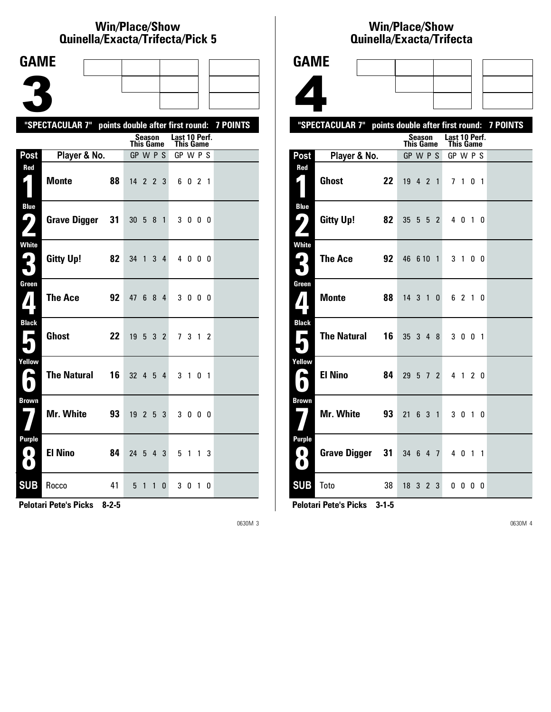### **Win/Place/Show Qui nel la/Exacta/Tri fecta/Pick 5**

| <b>GAME</b>                         |                                                           |    |                              |                |                |                |               |                |                |                |  |
|-------------------------------------|-----------------------------------------------------------|----|------------------------------|----------------|----------------|----------------|---------------|----------------|----------------|----------------|--|
|                                     |                                                           |    |                              |                |                |                |               |                |                |                |  |
|                                     |                                                           |    |                              |                |                |                |               |                |                |                |  |
|                                     |                                                           |    |                              |                |                |                |               |                |                |                |  |
|                                     | "SPECTACULAR 7" points double after first round: 7 POINTS |    |                              | <b>Season</b>  |                |                | Last 10 Perf. |                |                |                |  |
|                                     |                                                           |    | <b>This Game</b><br>GP W P S |                |                |                | This Game     |                |                |                |  |
| Post<br>Red                         | Player & No.                                              |    |                              |                |                |                | GP W P S      |                |                |                |  |
| $\mathbf{r}$                        | <b>Monte</b>                                              | 88 | $14$ 2 2 3                   |                |                |                |               | 6021           |                |                |  |
| <b>Blue</b><br><u>( ما</u>          | Grave Digger                                              | 31 | 30 <sub>5</sub>              |                | 8              | $\overline{1}$ |               | 3000           |                |                |  |
| <b>White</b><br>2<br>$\blacksquare$ | <b>Gitty Up!</b>                                          | 82 | 34 1                         |                | 3 <sup>1</sup> | 4              |               | 4000           |                |                |  |
| Green                               | <b>The Ace</b>                                            | 92 | 47                           | - 6            | 8 <sub>4</sub> |                |               | 3 0 0 0        |                |                |  |
| <b>Black</b><br>Е                   | <b>Ghost</b>                                              | 22 | 19                           | 5 <sup>1</sup> | 3 <sub>2</sub> |                |               | 7 3 1 2        |                |                |  |
| Yellow<br>A                         | <b>The Natural</b>                                        | 16 | 32 4 5                       |                |                | 4              | 3             | $\overline{1}$ | 0 <sub>1</sub> |                |  |
| <b>Brown</b>                        | Mr. White                                                 | 93 | 19                           |                | 2 <sub>5</sub> | 3              |               | 3 0 0 0        |                |                |  |
| <b>Purple</b><br>. O .<br>$\bullet$ | <b>El Nino</b>                                            | 84 | 24 5                         |                | 4 3            |                |               | 5 1            |                | 1 <sup>3</sup> |  |
| <b>SUB</b>                          | Rocco                                                     | 41 | 5                            | 1              | 1              | 0              |               | 30             |                | $1\quad0$      |  |

**Pelotari Pete's Picks 8-2-5**

0630M 3

## **Win/Place/Show Qui nel la/Exacta/Tri fecta**



|                                                      | "SPECTACULAR 7" points double after first round: 7 POINTS |    |                              |        |  |                                   |                          |  |  |
|------------------------------------------------------|-----------------------------------------------------------|----|------------------------------|--------|--|-----------------------------------|--------------------------|--|--|
|                                                      |                                                           |    | <b>This Game</b>             | Season |  | Last 10 Perf.<br><b>This Game</b> |                          |  |  |
| Post                                                 | Player & No.                                              |    | GP W P S                     |        |  | GP W P S                          |                          |  |  |
| Red<br>$\mathfrak{c}$ )                              | Ghost                                                     | 22 | $19 \quad 4 \quad 2 \quad 1$ |        |  |                                   | 7 1 0 1                  |  |  |
| <b>Blue</b><br>9)                                    | <b>Gitty Up!</b>                                          | 82 | $35\ 5\ 5\ 2$                |        |  |                                   | 4 0 1 0                  |  |  |
| <b>White</b><br>$\mathbf{R}^{j}$                     | <b>The Ace</b>                                            | 92 | 46 6 10 1                    |        |  |                                   | 3 1 0 0                  |  |  |
| Green<br>$\boldsymbol{I}$                            | <b>Monte</b>                                              | 88 | $14$ 3 1 0                   |        |  |                                   | 6 2 1 0                  |  |  |
| <b>Black</b><br>$\overline{\phantom{a}}$<br>٠        | <b>The Natural</b>                                        | 16 | 35 3 4 8                     |        |  |                                   | 3 0 0 1                  |  |  |
| Yellow<br>E<br>$\bullet$                             | <b>El Nino</b>                                            | 84 | 29 5 7 2                     |        |  |                                   | 4 1 2 0                  |  |  |
| <b>Brown</b>                                         | Mr. White                                                 | 93 | 21 6 3 1                     |        |  |                                   | 3 0 1 0                  |  |  |
| <b>Purple</b><br>$\left( 0\right)$<br>$\blacksquare$ | Grave Digger 31                                           |    | 34 6 4 7                     |        |  |                                   | 4 0 1 1                  |  |  |
| <b>SUB</b>                                           | <b>Toto</b>                                               | 38 | $18$ 3 2 3                   |        |  |                                   | $0\quad 0\quad 0\quad 0$ |  |  |

**Pelotari Pete's Picks 3-1-5**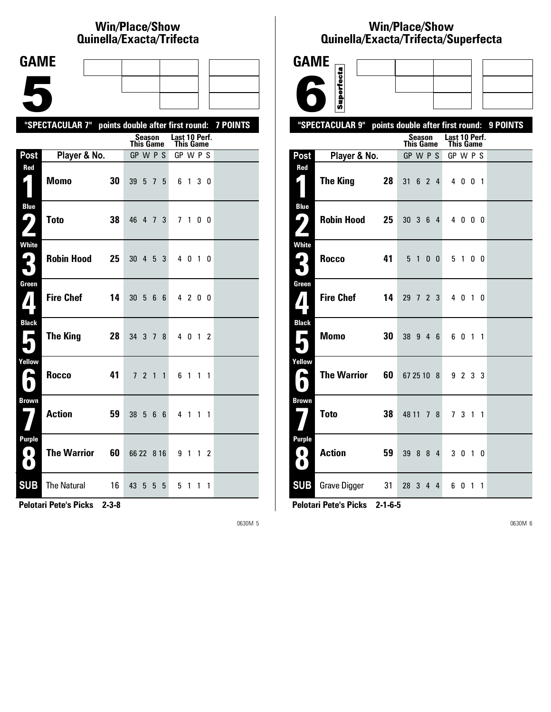# **Win/Place/Show Qui nel la/Exacta/Tri fecta**

| <b>GAME</b>                                |                                                           |            |                  |         |                |   |                                   |         |  |  |
|--------------------------------------------|-----------------------------------------------------------|------------|------------------|---------|----------------|---|-----------------------------------|---------|--|--|
|                                            |                                                           |            |                  |         |                |   |                                   |         |  |  |
|                                            |                                                           |            |                  |         |                |   |                                   |         |  |  |
|                                            | "SPECTACULAR 7" points double after first round: 7 POINTS |            |                  |         |                |   |                                   |         |  |  |
|                                            |                                                           |            | This Game        | Season  |                |   | Last 10 Perf.<br><b>This Game</b> |         |  |  |
| Post                                       | Player & No.                                              |            | GP W P S         |         |                |   | GP W P S                          |         |  |  |
| Red<br>1                                   | <b>Momo</b>                                               | 30         | 39               | 5 7 5   |                |   |                                   | 6 1 3 0 |  |  |
| <b>Blue</b><br><u>ر با</u><br>$\mathbf{z}$ | <b>Toto</b>                                               | 38         | 46 4 7 3         |         |                |   |                                   | 7 1 0 0 |  |  |
| <b>White</b><br>3                          | <b>Robin Hood</b>                                         | 25         | $30 \t4 \t5 \t3$ |         |                |   |                                   | 4 0 1 0 |  |  |
| Green<br>$\mathbf{Z}$                      | <b>Fire Chef</b>                                          | 14         | $30\,5\,6\,6$    |         |                |   |                                   | 4 2 0 0 |  |  |
| <b>Black</b><br>$\overline{\phantom{a}}$   | The King                                                  | 28         | 34 3 7 8         |         |                |   |                                   | 4 0 1 2 |  |  |
| Yellow<br>ئم                               | <b>Rocco</b>                                              | 41         |                  | 7 2 1 1 |                |   |                                   | 6 1 1 1 |  |  |
| <b>Brown</b>                               | Action                                                    | 59         | 38 5             |         | 66             |   |                                   | 4 1 1 1 |  |  |
| <b>Purple</b><br>$\left( 0\right)$<br>0    | <b>The Warrior</b>                                        | 60         | 66 22 8 16       |         |                |   |                                   | 9 1 1 2 |  |  |
| <b>SUB</b>                                 | <b>The Natural</b><br><b><i>CONTRACTOR</i></b>            | 16<br>0.00 | 43 5             |         | 5 <sup>1</sup> | 5 | 5                                 | 1 1 1   |  |  |

**Pelotari Pete's Picks 2-3-8**

0630M 5

# **Win/Place/Show Qui nel la/Exacta/Tri fecta/Super fecta**

| GAME                                              |                     |    |                                  |               |                |                |                                   |         |           |          |
|---------------------------------------------------|---------------------|----|----------------------------------|---------------|----------------|----------------|-----------------------------------|---------|-----------|----------|
|                                                   | Superfecta          |    |                                  |               |                |                |                                   |         |           |          |
|                                                   |                     |    |                                  |               |                |                |                                   |         |           |          |
|                                                   | "SPECTACULAR 9"     |    | points double after first round: |               |                |                |                                   |         |           | 9 POINTS |
|                                                   |                     |    | <b>This Game</b>                 | <b>Season</b> |                |                | Last 10 Perf.<br><b>This Game</b> |         |           |          |
| Post                                              | Player & No.        |    | GP W P S                         |               |                |                | GP W P S                          |         |           |          |
| Red<br>$\mathsf{K}$                               | <b>The King</b>     | 28 | 31                               | 6             | $\overline{2}$ | $\overline{4}$ |                                   | 4 0 0 1 |           |          |
| <b>Blue</b><br>$\mathbf{\mathsf{G}}$ )            | <b>Robin Hood</b>   | 25 | $30 \t3 \t6$                     |               |                | 4              |                                   | 4000    |           |          |
| <b>White</b>                                      | Rocco               | 41 | 5 <sub>1</sub>                   |               | 0 <sub>0</sub> |                |                                   | 5 1 0 0 |           |          |
| Green<br>$\boldsymbol{I}$                         | <b>Fire Chef</b>    | 14 | 29 7 2 3                         |               |                |                |                                   | 4 0 1 0 |           |          |
| <b>Black</b><br>Е                                 | <b>Momo</b>         | 30 | 38 9 4 6                         |               |                |                | 6                                 | 0       | $1\quad1$ |          |
| Yellow<br>$\blacktriangleright$<br>$\blacksquare$ | <b>The Warrior</b>  | 60 | 67 25 10 8                       |               |                |                |                                   | 9 2 3 3 |           |          |
| <b>Brown</b>                                      | <b>Toto</b>         | 38 | 48 11 7 8                        |               |                |                |                                   | 73      | $1\quad1$ |          |
| <b>Purple</b><br>0,<br>$\bullet$                  | <b>Action</b>       | 59 | 39                               | - 8           | 8              | 4              | 30                                |         | 1 0       |          |
| <b>SUB</b>                                        | <b>Grave Digger</b> | 31 | 28                               | 3             | 4              | 4              | 6                                 | 0       | $1\quad1$ |          |

**Pelotari Pete's Picks 2-1-6-5**